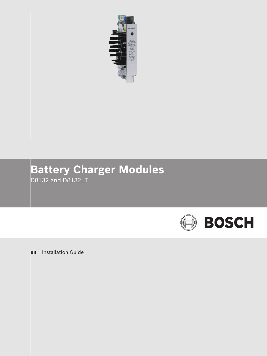

# **Battery Charger Modules** D8132 and D8132LT

**en** Installation Guide

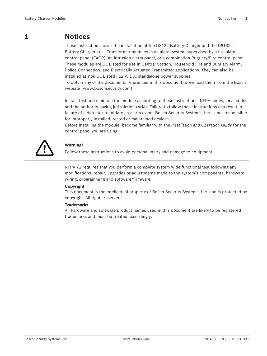#### **Notices 1**

These instructions cover the installation of the D8132 Battery Charger and the D8132LT Battery Charger Less Transformer modules in an alarm system supervised by a fire alarm control panel (FACP), an intrusion alarm panel, or a combination Burglary/Fire control panel. These modules are UL Listed for use in Central Station, Household Fire and Burglary Alarm, Police Connection, and Electrically Actuated Transmitter applications. They can also be installed as non-UL Listed , 12 V, 1 A, standalone power supplies.

To obtain any of the documents referenced in this document, download them from the Bosch website (www.boschsecurity.com).

Install, test and maintain the module according to these instructions, NFPA codes, local codes, and the authority having jurisdiction (AHJ). Failure to follow these instructions can result in failure of a detector to initiate an alarm event. Bosch Security Systems, Inc. is not responsible for improperly installed, tested or maintained devices.

Before installing the module, become familiar with the *Installation and Operation Guide* for the control panel you are using.



# **Warning!**

Follow these instructions to avoid personal injury and damage to equipment.

NFPA 72 requires that you perform a complete system wide functional test following any modifications, repair, upgrades or adjustments made to the system's components, hardware, wiring, programming and software/firmware.

# **Copyright**

This document is the intellectual property of Bosch Security Systems, Inc. and is protected by copyright. All rights reserved.

# **Trademarks**

All hardware and software product names used in this document are likely to be registered trademarks and must be treated accordingly.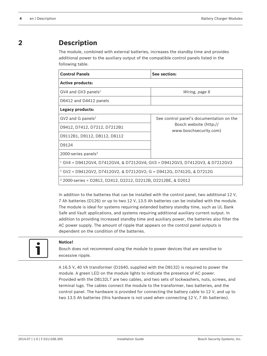#### **Description 2**

The module, combined with external batteries, increases the standby time and provides additional power to the auxiliary output of the compatible control panels listed in the following table.

| <b>Control Panels</b>                                                          | See section:                                     |  |  |
|--------------------------------------------------------------------------------|--------------------------------------------------|--|--|
| <b>Active products:</b>                                                        |                                                  |  |  |
| $GV4$ and GV3 panels <sup>1</sup>                                              | Wiring, page 6                                   |  |  |
| D6412 and D4412 panels                                                         |                                                  |  |  |
| Legacy products:                                                               |                                                  |  |  |
| $GV2$ and G panels <sup>2</sup>                                                | See control panel's documentation on the         |  |  |
| D9412, D7412, D7212, D7212B1                                                   | Bosch website (http://<br>www.boschsecurity.com) |  |  |
| D9112B1, D9112, D8112, D6112                                                   |                                                  |  |  |
| D9124                                                                          |                                                  |  |  |
| 2000-series panels $3$                                                         |                                                  |  |  |
| $1$ GV4 = D9412GV4, D7412GV4, & D7212GV4; GV3 = D9412GV3, D7412GV3, & D7212GV3 |                                                  |  |  |
| $2$ GV2 = D9412GV2, D7412GV2, & D7212GV2; G = D9412G, D7412G, & D7212G         |                                                  |  |  |
| $3\,2000$ -series = D2812, D2412, D2212, D2212B, D2212BE, & D2012              |                                                  |  |  |

In addition to the batteries that can be installed with the control panel, two additional 12 V, 7 Ah batteries (D126) or up to two 12 V, 13.5 Ah batteries can be installed with the module. The module is ideal for systems requiring extended battery standby time, such as UL Bank Safe and Vault applications, and systems requiring additional auxiliary current output. In addition to providing increased standby time and auxiliary power, the batteries also filter the AC power supply. The amount of ripple that appears on the control panel outputs is dependent on the condition of the batteries.



# **Notice!**

Bosch does not recommend using the module to power devices that are sensitive to excessive ripple.

A 16.5 V, 40 VA transformer (D1640, supplied with the D8132) is required to power the module. A green LED on the module lights to indicate the presence of AC power. Provided with the D8132LT are two cables, and two sets of lockwashers, nuts, screws, and terminal lugs. The cables connect the module to the transformer, two batteries, and the control panel. The hardware is provided for connecting the battery cable to 12 V, and up to two 13.5 Ah batteries (this hardware is not used when connecting 12 V, 7 Ah batteries).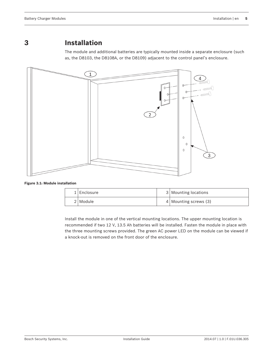#### **Installation 3**

The module and additional batteries are typically mounted inside a separate enclosure (such as, the D8103, the D8108A, or the D8109) adjacent to the control panel's enclosure.



**Figure 3.1: Module installation**

| $1$   Enclosure | 3 Mounting locations    |
|-----------------|-------------------------|
| 2   Module      | $4$ Mounting screws (3) |

Install the module in one of the vertical mounting locations. The upper mounting location is recommended if two 12 V, 13.5 Ah batteries will be installed. Fasten the module in place with the three mounting screws provided. The green AC power LED on the module can be viewed if a knock-out is removed on the front door of the enclosure.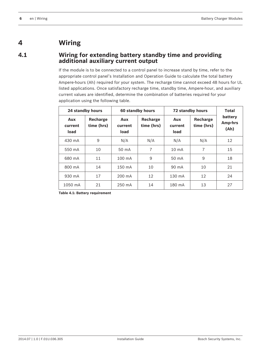#### <span id="page-5-0"></span>**Wiring 4**

**4.1**

# **Wiring for extending battery standby time and providing additional auxiliary current output**

If the module is to be connected to a control panel to increase stand by time, refer to the appropriate control panel's Installation and Operation Guide to calculate the total battery Ampere-hours (Ah) required for your system. The recharge time cannot exceed 48 hours for UL listed applications. Once satisfactory recharge time, standby time, Ampere-hour, and auxiliary current values are identified, determine the combination of batteries required for your application using the following table.

| 24 standby hours<br>60 standby hours |                        | 72 standby hours       |                        | Total                  |                        |                            |
|--------------------------------------|------------------------|------------------------|------------------------|------------------------|------------------------|----------------------------|
| Aux<br>current<br>load               | Recharge<br>time (hrs) | Aux<br>current<br>load | Recharge<br>time (hrs) | Aux<br>current<br>load | Recharge<br>time (hrs) | battery<br>Amp-hrs<br>(Ah) |
| $430 \text{ mA}$                     | 9                      | N/A                    | N/A                    | N/A                    | N/A                    | 12                         |
| 550 mA                               | 10                     | 50 mA                  | 7                      | $10 \text{ mA}$        | 7                      | 15                         |
| 680 mA                               | 11                     | $100 \text{ mA}$       | 9                      | 50 mA                  | 9                      | 18                         |
| 800 mA                               | 14                     | 150 mA                 | 10                     | 90 mA                  | 10                     | 21                         |
| $930 \text{ mA}$                     | 17                     | 200 mA                 | 12                     | $130 \text{ mA}$       | 12                     | 24                         |
| 1050 mA                              | 21                     | $250 \text{ mA}$       | 14                     | 180 mA                 | 13                     | 27                         |

**Table 4.1: Battery requirement**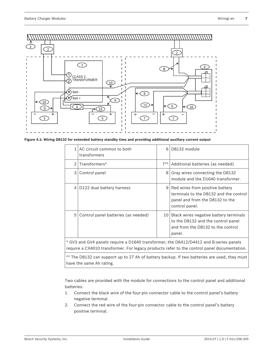

**Figure 4.1: Wiring D8132 for extended battery standby time and providing additional auxiliary current output**

| 1 <sup>1</sup>                                                                                                                                                                       | AC circuit common to both<br>transformers | 6              | D8132 module                                                                                                                   |  |
|--------------------------------------------------------------------------------------------------------------------------------------------------------------------------------------|-------------------------------------------|----------------|--------------------------------------------------------------------------------------------------------------------------------|--|
| $\mathcal{D}$                                                                                                                                                                        | Transformers*                             | $7**$          | Additional batteries (as needed)                                                                                               |  |
| 3                                                                                                                                                                                    | Control panel                             | 8 <sup>1</sup> | Gray wires connecting the D8132<br>module and the D1640 transformer.                                                           |  |
| 4                                                                                                                                                                                    | D122 dual battery harness                 | 9 <sup>1</sup> | Red wires from positive battery<br>terminals to the D8132 and the control<br>panel and from the D8132 to the<br>control panel. |  |
| 5<br>Control panel batteries (as needed)<br>10 l<br>Black wires negative battery terminals<br>to the D8132 and the control panel<br>and from the D8132 to the control<br>panel.      |                                           |                |                                                                                                                                |  |
| * GV3 and GV4 panels require a D1640 transformer; the D6412/D4412 and B-series panels<br>require a CX4010 transformer. For legacy products refer to the control panel documentation. |                                           |                |                                                                                                                                |  |

\*\* The D8132 can support up to 27 Ah of battery backup. If two batteries are used, they must have the same Ah rating.

Two cables are provided with the module for connections to the control panel and additional batteries.

- 1. Connect the black wire of the four-pin connector cable to the control panel's battery negative terminal.
- 2. Connect the red wire of the four-pin connector cable to the control panel's battery positive terminal.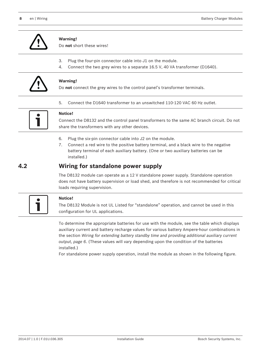

# **Warning!**

Do **not** short these wires!

- 3. Plug the four-pin connector cable into J1 on the module.
- 4. Connect the two grey wires to a separate 16.5 V, 40 VA transformer (D1640).

5. Connect the D1640 transformer to an unswitched 110-120 VAC 60 Hz outlet.



# **Warning!**

Do **not** connect the grey wires to the control panel's transformer terminals.



# **Notice!**

Connect the D8132 and the control panel transformers to the same AC branch circuit. Do not share the transformers with any other devices.

- 6. Plug the six‑pin connector cable into J2 on the module.
- 7. Connect a red wire to the positive battery terminal, and a black wire to the negative battery terminal of each auxiliary battery. (One or two auxiliary batteries can be installed.)

#### **Wiring for standalone power supply 4.2**

The D8132 module can operate as a 12 V standalone power supply. Standalone operation does not have battery supervision or load shed, and therefore is not recommended for critical loads requiring supervision.



# **Notice!**

The D8132 Module is not UL Listed for "standalone" operation, and cannot be used in this configuration for UL applications.

To determine the appropriate batteries for use with the module, see the table which displays auxiliary current and battery recharge values for various battery Ampere-hour combinations in the section *[Wiring for extending battery standby time and providing additional auxiliary current](#page-5-0) [output, page 6](#page-5-0)*. (These values will vary depending upon the condition of the batteries installed.)

For standalone power supply operation, install the module as shown in the following figure.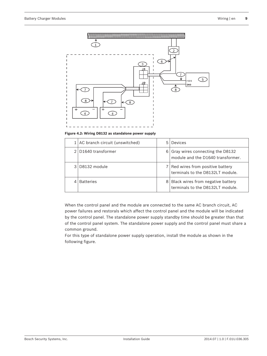

**Figure 4.2: Wiring D8132 as standalone power supply**

|               | $1$ AC branch circuit (unswitched) | 5 Devices                                                               |
|---------------|------------------------------------|-------------------------------------------------------------------------|
|               | D <sub>1640</sub> transformer      | 6 Gray wires connecting the D8132<br>module and the D1640 transformer.  |
| $\mathcal{A}$ | D8132 module                       | 7 Red wires from positive battery<br>terminals to the D8132LT module.   |
|               | <b>Batteries</b>                   | 8 Black wires from negative battery<br>terminals to the D8132LT module. |

When the control panel and the module are connected to the same AC branch circuit, AC power failures and restorals which affect the control panel and the module will be indicated by the control panel. The standalone power supply standby time should be greater than that of the control panel system. The standalone power supply and the control panel must share a common ground.

For this type of standalone power supply operation, install the module as shown in the following figure.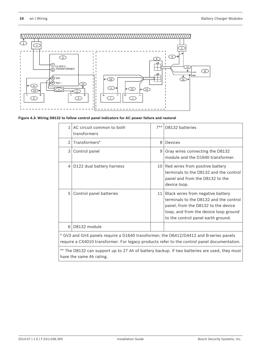

# **Figure 4.3: Wiring D8132 to follow control panel indicators for AC power failure and restoral**

| $\mathbf{1}$                                                                                                                                                                         | AC circuit common to both<br>transformers                                                                                | $7**$ | D8132 batteries                                                                                                                                                                                        |
|--------------------------------------------------------------------------------------------------------------------------------------------------------------------------------------|--------------------------------------------------------------------------------------------------------------------------|-------|--------------------------------------------------------------------------------------------------------------------------------------------------------------------------------------------------------|
|                                                                                                                                                                                      | 2 Transformers*                                                                                                          | 8     | Devices                                                                                                                                                                                                |
| 3                                                                                                                                                                                    | Control panel                                                                                                            |       | $9$ Gray wires connecting the D8132<br>module and the D1640 transformer.                                                                                                                               |
|                                                                                                                                                                                      | 4 D122 dual battery harness                                                                                              |       | 10   Red wires from positive battery<br>terminals to the D8132 and the control<br>panel and from the D8132 to the<br>device loop.                                                                      |
| 5                                                                                                                                                                                    | Control panel batteries                                                                                                  |       | 11   Black wires from negative battery<br>terminals to the D8132 and the control<br>panel, from the D8132 to the device<br>loop, and from the device loop ground<br>to the control panel earth ground. |
| 6 <sup>1</sup>                                                                                                                                                                       | D8132 module                                                                                                             |       |                                                                                                                                                                                                        |
| * GV3 and GV4 panels require a D1640 transformer; the D6412/D4412 and B-series panels<br>require a CX4010 transformer. For legacy products refer to the control panel documentation. |                                                                                                                          |       |                                                                                                                                                                                                        |
|                                                                                                                                                                                      | ** The D8132 can support up to 27 Ah of battery backup. If two batteries are used, they must<br>have the same Ah rating. |       |                                                                                                                                                                                                        |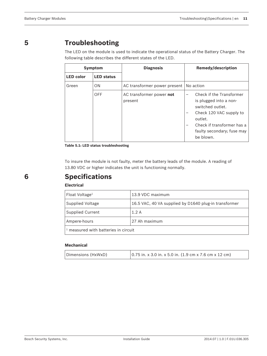#### **Troubleshooting 5**

The LED on the module is used to indicate the operational status of the Battery Charger. The following table describes the different states of the LED.

| <b>Symptom</b>   |                   | <b>Diagnosis</b>                    | <b>Remedy/description</b>                                                                                                                                                                                                                          |  |  |
|------------------|-------------------|-------------------------------------|----------------------------------------------------------------------------------------------------------------------------------------------------------------------------------------------------------------------------------------------------|--|--|
| <b>LED</b> color | <b>LED status</b> |                                     |                                                                                                                                                                                                                                                    |  |  |
| Green            | <b>ON</b>         | AC transformer power present        | No action                                                                                                                                                                                                                                          |  |  |
|                  | <b>OFF</b>        | AC transformer power not<br>present | Check if the Transformer<br>$\overline{\phantom{0}}$<br>is plugged into a non-<br>switched outlet.<br>Check 120 VAC supply to<br>-<br>outlet.<br>Check if transformer has a<br>$\overline{\phantom{0}}$<br>faulty secondary; fuse may<br>be blown. |  |  |

**Table 5.1: LED status troubleshooting**

To insure the module is not faulty, meter the battery leads of the module. A reading of 13.80 VDC or higher indicates the unit is functioning normally.

# **Specifications**

# **Electrical**

| Float Voltage <sup>1</sup>             | 13.9 VDC maximum                                      |  |
|----------------------------------------|-------------------------------------------------------|--|
| Supplied Voltage                       | 16.5 VAC, 40 VA supplied by D1640 plug-in transformer |  |
| <b>Supplied Current</b>                | 1.2A                                                  |  |
| 27 Ah maximum<br>Ampere-hours          |                                                       |  |
| $1$ measured with batteries in circuit |                                                       |  |

# **Mechanical**

| Dimensions (HxWxD) | $\vert$ 0.75 in. x 3.0 in. x 5.0 in. (1.9 cm x 7.6 cm x 12 cm) |
|--------------------|----------------------------------------------------------------|
|--------------------|----------------------------------------------------------------|